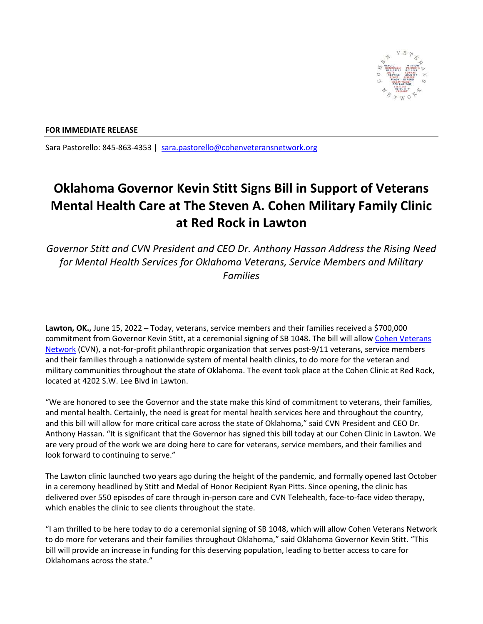

## **FOR IMMEDIATE RELEASE**

Sara Pastorello: 845‐863‐4353 | sara.pastorello@cohenveteransnetwork.org

## **Oklahoma Governor Kevin Stitt Signs Bill in Support of Veterans Mental Health Care at The Steven A. Cohen Military Family Clinic at Red Rock in Lawton**

*Governor Stitt and CVN President and CEO Dr. Anthony Hassan Address the Rising Need for Mental Health Services for Oklahoma Veterans, Service Members and Military Families*

Lawton, OK., June 15, 2022 – Today, veterans, service members and their families received a \$700,000 commitment from Governor Kevin Stitt, at a ceremonial signing of SB 1048. The bill will allow Cohen Veterans Network (CVN), a not-for-profit philanthropic organization that serves post-9/11 veterans, service members and their families through a nationwide system of mental health clinics, to do more for the veteran and military communities throughout the state of Oklahoma. The event took place at the Cohen Clinic at Red Rock, located at 4202 S.W. Lee Blvd in Lawton.

"We are honored to see the Governor and the state make this kind of commitment to veterans, their families, and mental health. Certainly, the need is great for mental health services here and throughout the country, and this bill will allow for more critical care across the state of Oklahoma," said CVN President and CEO Dr. Anthony Hassan. "It is significant that the Governor has signed this bill today at our Cohen Clinic in Lawton. We are very proud of the work we are doing here to care for veterans, service members, and their families and look forward to continuing to serve."

The Lawton clinic launched two years ago during the height of the pandemic, and formally opened last October in a ceremony headlined by Stitt and Medal of Honor Recipient Ryan Pitts. Since opening, the clinic has delivered over 550 episodes of care through in‐person care and CVN Telehealth, face‐to‐face video therapy, which enables the clinic to see clients throughout the state.

"I am thrilled to be here today to do a ceremonial signing of SB 1048, which will allow Cohen Veterans Network to do more for veterans and their families throughout Oklahoma," said Oklahoma Governor Kevin Stitt. "This bill will provide an increase in funding for this deserving population, leading to better access to care for Oklahomans across the state."